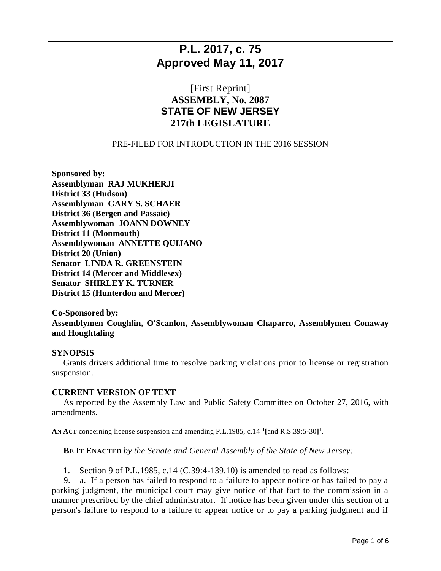# **P.L. 2017, c. 75 Approved May 11, 2017**

# [First Reprint] **ASSEMBLY, No. 2087 STATE OF NEW JERSEY 217th LEGISLATURE**

## PRE-FILED FOR INTRODUCTION IN THE 2016 SESSION

**Sponsored by: Assemblyman RAJ MUKHERJI District 33 (Hudson) Assemblyman GARY S. SCHAER District 36 (Bergen and Passaic) Assemblywoman JOANN DOWNEY District 11 (Monmouth) Assemblywoman ANNETTE QUIJANO District 20 (Union) Senator LINDA R. GREENSTEIN District 14 (Mercer and Middlesex) Senator SHIRLEY K. TURNER District 15 (Hunterdon and Mercer)**

## **Co-Sponsored by: Assemblymen Coughlin, O'Scanlon, Assemblywoman Chaparro, Assemblymen Conaway and Houghtaling**

#### **SYNOPSIS**

 Grants drivers additional time to resolve parking violations prior to license or registration suspension.

#### **CURRENT VERSION OF TEXT**

 As reported by the Assembly Law and Public Safety Committee on October 27, 2016, with amendments.

AN ACT concerning license suspension and amending P.L.1985, c.14 <sup>1</sup>[and R.S.39:5-30]<sup>1</sup>.

**BE IT ENACTED** *by the Senate and General Assembly of the State of New Jersey:*

1. Section 9 of P.L.1985, c.14 (C.39:4-139.10) is amended to read as follows:

 9. a. If a person has failed to respond to a failure to appear notice or has failed to pay a parking judgment, the municipal court may give notice of that fact to the commission in a manner prescribed by the chief administrator. If notice has been given under this section of a person's failure to respond to a failure to appear notice or to pay a parking judgment and if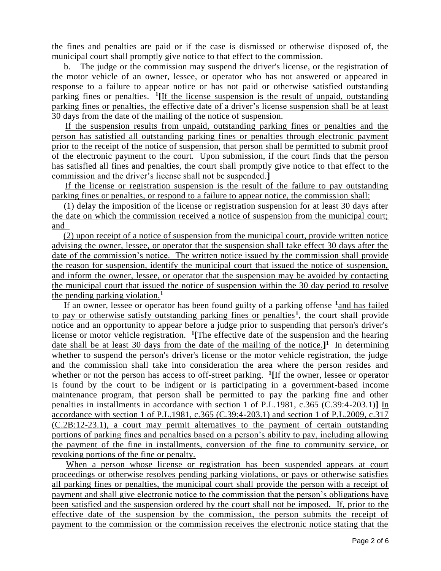the fines and penalties are paid or if the case is dismissed or otherwise disposed of, the municipal court shall promptly give notice to that effect to the commission.

 b. The judge or the commission may suspend the driver's license, or the registration of the motor vehicle of an owner, lessee, or operator who has not answered or appeared in response to a failure to appear notice or has not paid or otherwise satisfied outstanding parking fines or penalties. <sup>1</sup><sup>[If the license suspension is the result of unpaid, outstanding</sup> parking fines or penalties, the effective date of a driver's license suspension shall be at least 30 days from the date of the mailing of the notice of suspension.

 If the suspension results from unpaid, outstanding parking fines or penalties and the person has satisfied all outstanding parking fines or penalties through electronic payment prior to the receipt of the notice of suspension, that person shall be permitted to submit proof of the electronic payment to the court. Upon submission, if the court finds that the person has satisfied all fines and penalties, the court shall promptly give notice to that effect to the commission and the driver's license shall not be suspended.**]**

 If the license or registration suspension is the result of the failure to pay outstanding parking fines or penalties, or respond to a failure to appear notice, the commission shall:

 (1) delay the imposition of the license or registration suspension for at least 30 days after the date on which the commission received a notice of suspension from the municipal court; and

 (2) upon receipt of a notice of suspension from the municipal court, provide written notice advising the owner, lessee, or operator that the suspension shall take effect 30 days after the date of the commission's notice. The written notice issued by the commission shall provide the reason for suspension, identify the municipal court that issued the notice of suspension, and inform the owner, lessee, or operator that the suspension may be avoided by contacting the municipal court that issued the notice of suspension within the 30 day period to resolve the pending parking violation.**<sup>1</sup>**

 If an owner, lessee or operator has been found guilty of a parking offense **<sup>1</sup>**and has failed to pay or otherwise satisfy outstanding parking fines or penalties**<sup>1</sup>** , the court shall provide notice and an opportunity to appear before a judge prior to suspending that person's driver's license or motor vehicle registration. <sup>1</sup>[The effective date of the suspension and the hearing date shall be at least 30 days from the date of the mailing of the notice.**] 1** In determining whether to suspend the person's driver's license or the motor vehicle registration, the judge and the commission shall take into consideration the area where the person resides and whether or not the person has access to off-street parking. <sup>1</sup>[If the owner, lessee or operator is found by the court to be indigent or is participating in a government-based income maintenance program, that person shall be permitted to pay the parking fine and other penalties in installments in accordance with section 1 of P.L.1981, c.365 (C.39:4-203.1)**]** In accordance with section 1 of P.L.1981, c.365 (C.39:4-203.1) and section 1 of P.L.2009, c.317 (C.2B:12-23.1), a court may permit alternatives to the payment of certain outstanding portions of parking fines and penalties based on a person's ability to pay, including allowing the payment of the fine in installments, conversion of the fine to community service, or revoking portions of the fine or penalty.

When a person whose license or registration has been suspended appears at court proceedings or otherwise resolves pending parking violations, or pays or otherwise satisfies all parking fines or penalties, the municipal court shall provide the person with a receipt of payment and shall give electronic notice to the commission that the person's obligations have been satisfied and the suspension ordered by the court shall not be imposed. If, prior to the effective date of the suspension by the commission, the person submits the receipt of payment to the commission or the commission receives the electronic notice stating that the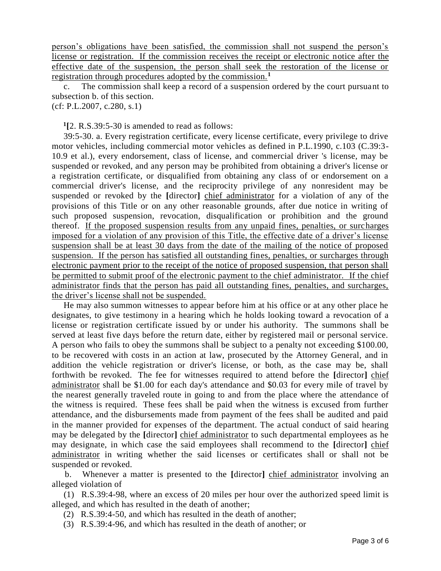person's obligations have been satisfied, the commission shall not suspend the person's license or registration. If the commission receives the receipt or electronic notice after the effective date of the suspension, the person shall seek the restoration of the license or registration through procedures adopted by the commission.**<sup>1</sup>**

 c. The commission shall keep a record of a suspension ordered by the court pursuant to subsection b. of this section.

(cf: P.L.2007, c.280, s.1)

**1 [**2. R.S.39:5-30 is amended to read as follows:

 39:5-30. a. Every registration certificate, every license certificate, every privilege to drive motor vehicles, including commercial motor vehicles as defined in P.L.1990, c.103 (C.39:3- 10.9 et al.), every endorsement, class of license, and commercial driver 's license, may be suspended or revoked, and any person may be prohibited from obtaining a driver's license or a registration certificate, or disqualified from obtaining any class of or endorsement on a commercial driver's license, and the reciprocity privilege of any nonresident may be suspended or revoked by the **[**director**]** chief administrator for a violation of any of the provisions of this Title or on any other reasonable grounds, after due notice in writing of such proposed suspension, revocation, disqualification or prohibition and the ground thereof. If the proposed suspension results from any unpaid fines, penalties, or surcharges imposed for a violation of any provision of this Title, the effective date of a driver's license suspension shall be at least 30 days from the date of the mailing of the notice of proposed suspension. If the person has satisfied all outstanding fines, penalties, or surcharges through electronic payment prior to the receipt of the notice of proposed suspension, that person shall be permitted to submit proof of the electronic payment to the chief administrator. If the chief administrator finds that the person has paid all outstanding fines, penalties, and surcharges, the driver's license shall not be suspended.

 He may also summon witnesses to appear before him at his office or at any other place he designates, to give testimony in a hearing which he holds looking toward a revocation of a license or registration certificate issued by or under his authority. The summons shall be served at least five days before the return date, either by registered mail or personal service. A person who fails to obey the summons shall be subject to a penalty not exceeding \$100.00, to be recovered with costs in an action at law, prosecuted by the Attorney General, and in addition the vehicle registration or driver's license, or both, as the case may be, shall forthwith be revoked. The fee for witnesses required to attend before the **[**director**]** chief administrator shall be \$1.00 for each day's attendance and \$0.03 for every mile of travel by the nearest generally traveled route in going to and from the place where the attendance of the witness is required. These fees shall be paid when the witness is excused from further attendance, and the disbursements made from payment of the fees shall be audited and paid in the manner provided for expenses of the department. The actual conduct of said hearing may be delegated by the **[**director**]** chief administrator to such departmental employees as he may designate, in which case the said employees shall recommend to the **[**director**]** chief administrator in writing whether the said licenses or certificates shall or shall not be suspended or revoked.

 b. Whenever a matter is presented to the **[**director**]** chief administrator involving an alleged violation of

 (1) R.S.39:4-98, where an excess of 20 miles per hour over the authorized speed limit is alleged, and which has resulted in the death of another;

- (2) R.S.39:4-50, and which has resulted in the death of another;
- (3) R.S.39:4-96, and which has resulted in the death of another; or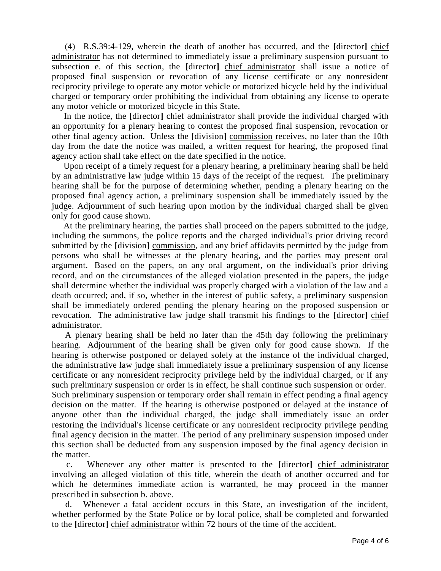(4) R.S.39:4-129, wherein the death of another has occurred, and the **[**director**]** chief administrator has not determined to immediately issue a preliminary suspension pursuant to subsection e. of this section, the **[**director**]** chief administrator shall issue a notice of proposed final suspension or revocation of any license certificate or any nonresident reciprocity privilege to operate any motor vehicle or motorized bicycle held by the individual charged or temporary order prohibiting the individual from obtaining any license to operate any motor vehicle or motorized bicycle in this State.

 In the notice, the **[**director**]** chief administrator shall provide the individual charged with an opportunity for a plenary hearing to contest the proposed final suspension, revocation or other final agency action. Unless the **[**division**]** commission receives, no later than the 10th day from the date the notice was mailed, a written request for hearing, the proposed final agency action shall take effect on the date specified in the notice.

 Upon receipt of a timely request for a plenary hearing, a preliminary hearing shall be held by an administrative law judge within 15 days of the receipt of the request. The preliminary hearing shall be for the purpose of determining whether, pending a plenary hearing on the proposed final agency action, a preliminary suspension shall be immediately issued by the judge. Adjournment of such hearing upon motion by the individual charged shall be given only for good cause shown.

 At the preliminary hearing, the parties shall proceed on the papers submitted to the judge, including the summons, the police reports and the charged individual's prior driving record submitted by the **[**division**]** commission, and any brief affidavits permitted by the judge from persons who shall be witnesses at the plenary hearing, and the parties may present oral argument. Based on the papers, on any oral argument, on the individual's prior driving record, and on the circumstances of the alleged violation presented in the papers, the judge shall determine whether the individual was properly charged with a violation of the law and a death occurred; and, if so, whether in the interest of public safety, a preliminary suspension shall be immediately ordered pending the plenary hearing on the proposed suspension or revocation. The administrative law judge shall transmit his findings to the **[**director**]** chief administrator.

 A plenary hearing shall be held no later than the 45th day following the preliminary hearing. Adjournment of the hearing shall be given only for good cause shown. If the hearing is otherwise postponed or delayed solely at the instance of the individual charged, the administrative law judge shall immediately issue a preliminary suspension of any license certificate or any nonresident reciprocity privilege held by the individual charged, or if any such preliminary suspension or order is in effect, he shall continue such suspension or order. Such preliminary suspension or temporary order shall remain in effect pending a final agency decision on the matter. If the hearing is otherwise postponed or delayed at the instance of anyone other than the individual charged, the judge shall immediately issue an order restoring the individual's license certificate or any nonresident reciprocity privilege pending final agency decision in the matter. The period of any preliminary suspension imposed under this section shall be deducted from any suspension imposed by the final agency decision in the matter.

 c. Whenever any other matter is presented to the **[**director**]** chief administrator involving an alleged violation of this title, wherein the death of another occurred and for which he determines immediate action is warranted, he may proceed in the manner prescribed in subsection b. above.

 d. Whenever a fatal accident occurs in this State, an investigation of the incident, whether performed by the State Police or by local police, shall be completed and forwarded to the **[**director**]** chief administrator within 72 hours of the time of the accident.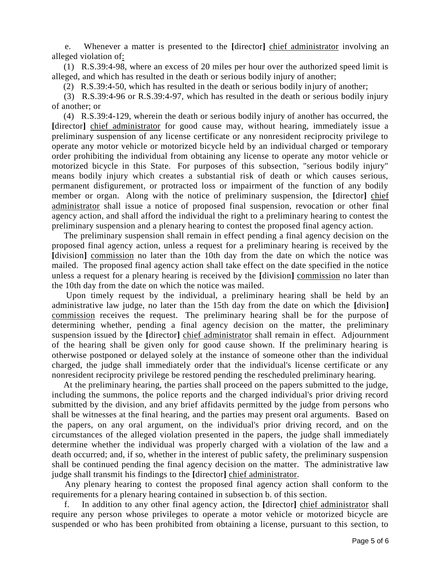e. Whenever a matter is presented to the **[**director**]** chief administrator involving an alleged violation of:

 (1) R.S.39:4-98, where an excess of 20 miles per hour over the authorized speed limit is alleged, and which has resulted in the death or serious bodily injury of another;

(2) R.S.39:4-50, which has resulted in the death or serious bodily injury of another;

 (3) R.S.39:4-96 or R.S.39:4-97, which has resulted in the death or serious bodily injury of another; or

 (4) R.S.39:4-129, wherein the death or serious bodily injury of another has occurred, the **[**director**]** chief administrator for good cause may, without hearing, immediately issue a preliminary suspension of any license certificate or any nonresident reciprocity privilege to operate any motor vehicle or motorized bicycle held by an individual charged or temporary order prohibiting the individual from obtaining any license to operate any motor vehicle or motorized bicycle in this State. For purposes of this subsection, "serious bodily injury" means bodily injury which creates a substantial risk of death or which causes serious, permanent disfigurement, or protracted loss or impairment of the function of any bodily member or organ. Along with the notice of preliminary suspension, the **[**director**]** chief administrator shall issue a notice of proposed final suspension, revocation or other final agency action, and shall afford the individual the right to a preliminary hearing to contest the preliminary suspension and a plenary hearing to contest the proposed final agency action.

 The preliminary suspension shall remain in effect pending a final agency decision on the proposed final agency action, unless a request for a preliminary hearing is received by the **[**division**]** commission no later than the 10th day from the date on which the notice was mailed. The proposed final agency action shall take effect on the date specified in the notice unless a request for a plenary hearing is received by the **[**division**]** commission no later than the 10th day from the date on which the notice was mailed.

 Upon timely request by the individual, a preliminary hearing shall be held by an administrative law judge, no later than the 15th day from the date on which the **[**division**]** commission receives the request. The preliminary hearing shall be for the purpose of determining whether, pending a final agency decision on the matter, the preliminary suspension issued by the [director] chief administrator shall remain in effect. Adjournment of the hearing shall be given only for good cause shown. If the preliminary hearing is otherwise postponed or delayed solely at the instance of someone other than the individual charged, the judge shall immediately order that the individual's license certificate or any nonresident reciprocity privilege be restored pending the rescheduled preliminary hearing.

 At the preliminary hearing, the parties shall proceed on the papers submitted to the judge, including the summons, the police reports and the charged individual's prior driving record submitted by the division, and any brief affidavits permitted by the judge from persons who shall be witnesses at the final hearing, and the parties may present oral arguments. Based on the papers, on any oral argument, on the individual's prior driving record, and on the circumstances of the alleged violation presented in the papers, the judge shall immediately determine whether the individual was properly charged with a violation of the law and a death occurred; and, if so, whether in the interest of public safety, the preliminary suspension shall be continued pending the final agency decision on the matter. The administrative law judge shall transmit his findings to the **[**director**]** chief administrator.

 Any plenary hearing to contest the proposed final agency action shall conform to the requirements for a plenary hearing contained in subsection b. of this section.

 f. In addition to any other final agency action, the **[**director**]** chief administrator shall require any person whose privileges to operate a motor vehicle or motorized bicycle are suspended or who has been prohibited from obtaining a license, pursuant to this section, to